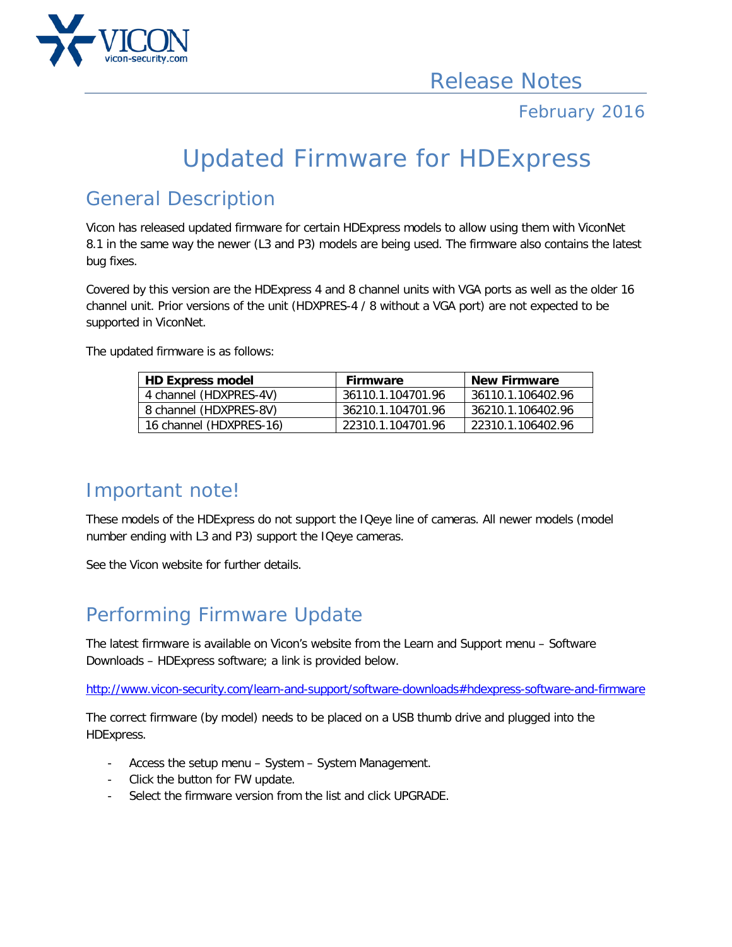

#### February 2016

# Updated Firmware for HDExpress

### General Description

Vicon has released updated firmware for certain HDExpress models to allow using them with ViconNet 8.1 in the same way the newer (L3 and P3) models are being used. The firmware also contains the latest bug fixes.

Covered by this version are the HDExpress 4 and 8 channel units with VGA ports as well as the older 16 channel unit. Prior versions of the unit (HDXPRES-4 / 8 without a VGA port) are not expected to be supported in ViconNet.

The updated firmware is as follows:

| <b>HD Express model</b> | <b>Firmware</b>   | <b>New Firmware</b> |
|-------------------------|-------------------|---------------------|
| 4 channel (HDXPRES-4V)  | 36110.1.104701.96 | 36110.1.106402.96   |
| 8 channel (HDXPRES-8V)  | 36210 1 104701 96 | 36210.1.106402.96   |
| 16 channel (HDXPRES-16) | 22310 1 104701 96 | - 22310.1.106402.96 |

#### Important note!

These models of the HDExpress do not support the IQeye line of cameras. All newer models (model number ending with L3 and P3) support the IQeye cameras.

See the Vicon website for further details.

## Performing Firmware Update

The latest firmware is available on Vicon's website from the Learn and Support menu – Software Downloads – HDExpress software; a link is provided below.

<http://www.vicon-security.com/learn-and-support/software-downloads#hdexpress-software-and-firmware>

The correct firmware (by model) needs to be placed on a USB thumb drive and plugged into the HDExpress.

- Access the setup menu System System Management.
- Click the button for FW update.
- Select the firmware version from the list and click UPGRADE.